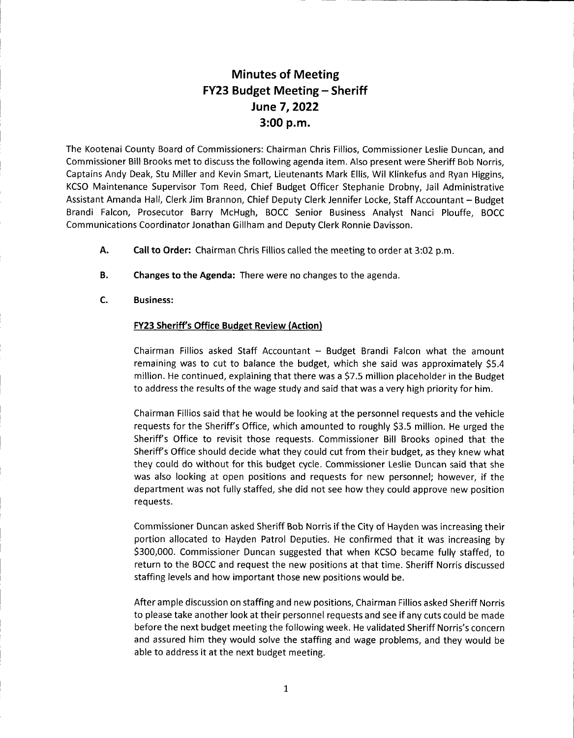## Minutes of Meeting FY23 Budget Meeting - Sheriff June 7,2022 3:00 p.m.

The Kootenai County Board of Commissioners: Chairman Chris Fillios, Commissioner Leslie Duncan, and Commissioner Bill Brooks met to discuss the following agenda item. Also present were Sheriff Bob Norris, Captains Andy Deak, Stu Miller and Kevin Smart, Lieutenants Mark Ellis, Wil Klinkefus and Ryan Higgins, KCSO Maintenance Supervisor Tom Reed, Chief Budget Officer Stephanie Drobny, Jail Administrative Assistant Amanda Hall, Clerk Jim Brannon, Chief Deputy Clerk Jennifer Locke, Staff Accountant - Budget Brandi Falcon, Prosecutor Barry McHugh, BOCC Senior Business Analyst Nanci Plouffe, BOCC Communications Coordinator Jonathan Gillham and Deputy Clerk Ronnie Davisson.

- Call to Order: Chairman Chris Fillios called the meeting to order at 3:02 p.m A.
- Changes to the Agenda: There were no changes to the agenda. B.
- Business: c.

## FY23 Sheriff's Office Budget Review (Action)

Chairman Fillios asked Staff Accountant  $-$  Budget Brandi Falcon what the amount remaining was to cut to balance the budget, which she said was approximately \$5.4 million. He continued, explaining that there was a S7.5 million placeholder in the Budget to address the results of the wage study and said that was a very high priority for him.

Chairman Fillios said that he would be looking at the personnel requests and the vehicle requests for the Sheriff's Office, which amounted to roughly 53.5 million. He urged the Sheriff's Office to revisit those requests. Commissioner Bill Brooks opined that the Sheriff's Office should decide what they could cut from their budget, as they knew what they could do without for this budget cycle. Commissioner Leslie Duncan said that she was also looking at open positions and requests for new personnel; however, if the department was not fully staffed, she did not see how they could approve new position req uests.

Commissioner Duncan asked Sheriff Bob Norris if the City of Hayden was increasing their portion allocated to Hayden Patrol Deputies. He confirmed that it was increasing by 5300,000. Commissioner Duncan suggested that when KCSO became fully staffed, to return to the BOCC and request the new positions at that time. Sheriff Norris discussed staffing levels and how important those new positions would be.

After ample discussion on staffing and new positions, Chairman Fillios asked Sheriff Norris to please take another look at their personnel requests and see if any cuts could be made before the next budget meeting the following week. He validated Sheriff Norris's concern and assured him they would solve the staffing and wage problems, and they would be able to address it at the next budget meeting.